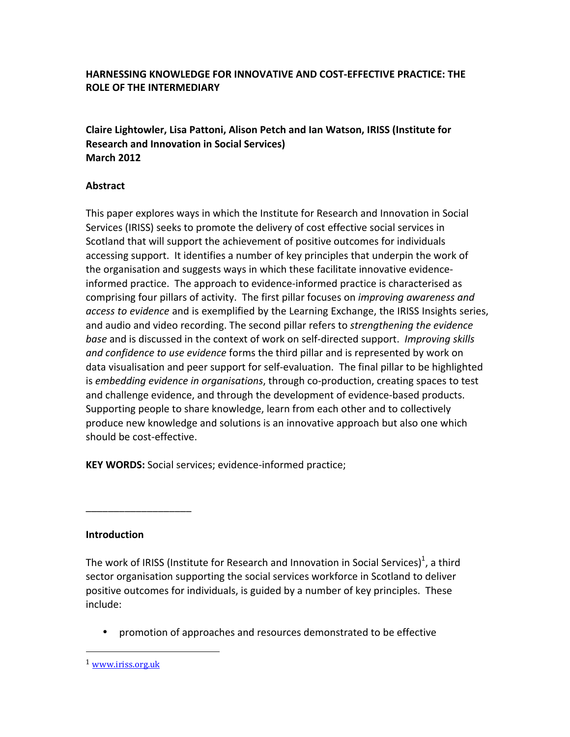# **HARNESSING KNOWLEDGE FOR INNOVATIVE AND COST-FFEECTIVE PRACTICE: THE ROLE OF THE INTERMEDIARY**

**Claire Lightowler, Lisa Pattoni, Alison Petch and Ian Watson, IRISS (Institute for Research and Innovation in Social Services) March 2012**

### **Abstract**

This paper explores ways in which the Institute for Research and Innovation in Social Services (IRISS) seeks to promote the delivery of cost effective social services in Scotland that will support the achievement of positive outcomes for individuals accessing support. It identifies a number of key principles that underpin the work of the organisation and suggests ways in which these facilitate innovative evidenceinformed practice. The approach to evidence-informed practice is characterised as comprising four pillars of activity. The first pillar focuses on *improving awareness and access to evidence* and is exemplified by the Learning Exchange, the IRISS Insights series, and audio and video recording. The second pillar refers to *strengthening the evidence base* and is discussed in the context of work on self-directed support. *Improving skills* and confidence to use evidence forms the third pillar and is represented by work on data visualisation and peer support for self-evaluation. The final pillar to be highlighted is *embedding evidence in organisations*, through co-production, creating spaces to test and challenge evidence, and through the development of evidence-based products. Supporting people to share knowledge, learn from each other and to collectively produce new knowledge and solutions is an innovative approach but also one which should be cost-effective.

**KEY WORDS:** Social services; evidence-informed practice;

# **Introduction**

\_\_\_\_\_\_\_\_\_\_\_\_\_\_\_\_\_\_\_

The work of IRISS (Institute for Research and Innovation in Social Services)<sup>1</sup>, a third sector organisation supporting the social services workforce in Scotland to deliver positive outcomes for individuals, is guided by a number of key principles. These include:

promotion of approaches and resources demonstrated to be effective

<sup>1</sup> www.iriss.org.uk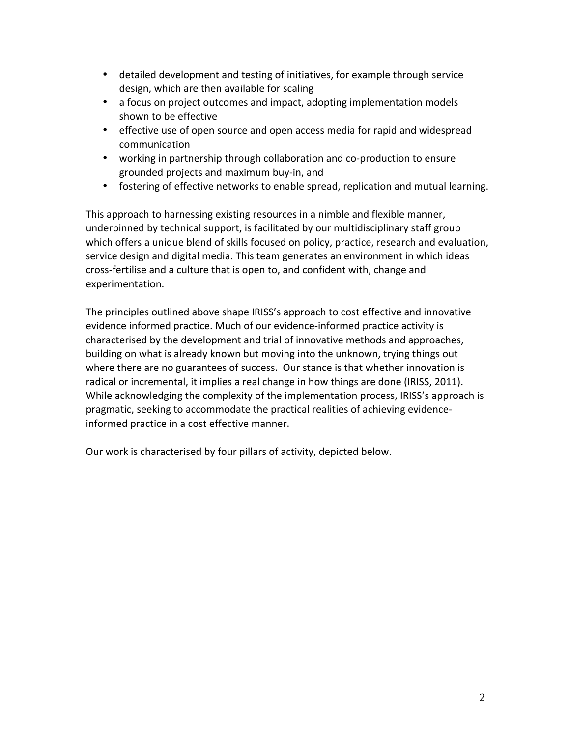- detailed development and testing of initiatives, for example through service design, which are then available for scaling
- a focus on project outcomes and impact, adopting implementation models shown to be effective
- effective use of open source and open access media for rapid and widespread communication
- working in partnership through collaboration and co-production to ensure grounded projects and maximum buy-in, and
- fostering of effective networks to enable spread, replication and mutual learning.

This approach to harnessing existing resources in a nimble and flexible manner, underpinned by technical support, is facilitated by our multidisciplinary staff group which offers a unique blend of skills focused on policy, practice, research and evaluation, service design and digital media. This team generates an environment in which ideas cross-fertilise and a culture that is open to, and confident with, change and experimentation. 

The principles outlined above shape IRISS's approach to cost effective and innovative evidence informed practice. Much of our evidence-informed practice activity is characterised by the development and trial of innovative methods and approaches, building on what is already known but moving into the unknown, trying things out where there are no guarantees of success. Our stance is that whether innovation is radical or incremental, it implies a real change in how things are done (IRISS, 2011). While acknowledging the complexity of the implementation process, IRISS's approach is pragmatic, seeking to accommodate the practical realities of achieving evidenceinformed practice in a cost effective manner.

Our work is characterised by four pillars of activity, depicted below.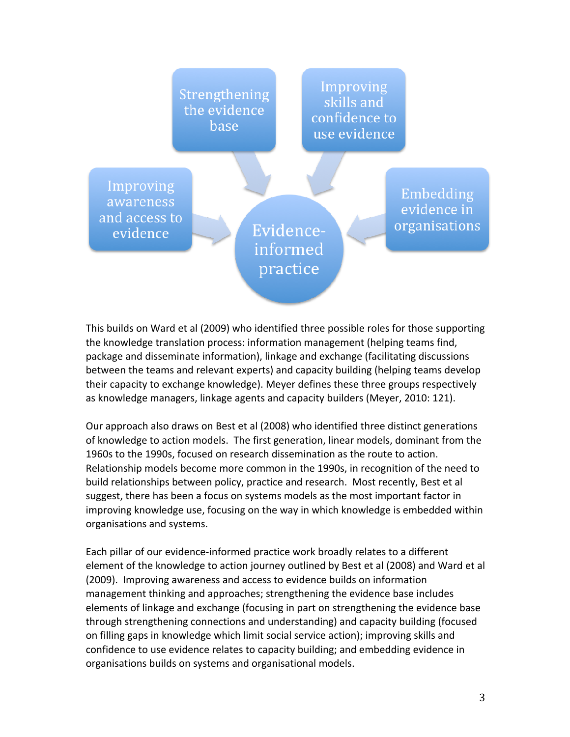

This builds on Ward et al (2009) who identified three possible roles for those supporting the knowledge translation process: information management (helping teams find, package and disseminate information), linkage and exchange (facilitating discussions between the teams and relevant experts) and capacity building (helping teams develop their capacity to exchange knowledge). Meyer defines these three groups respectively as knowledge managers, linkage agents and capacity builders (Meyer, 2010: 121).

Our approach also draws on Best et al (2008) who identified three distinct generations of knowledge to action models. The first generation, linear models, dominant from the 1960s to the 1990s, focused on research dissemination as the route to action. Relationship models become more common in the 1990s, in recognition of the need to build relationships between policy, practice and research. Most recently, Best et al suggest, there has been a focus on systems models as the most important factor in improving knowledge use, focusing on the way in which knowledge is embedded within organisations and systems.

Each pillar of our evidence-informed practice work broadly relates to a different element of the knowledge to action journey outlined by Best et al (2008) and Ward et al (2009). Improving awareness and access to evidence builds on information management thinking and approaches; strengthening the evidence base includes elements of linkage and exchange (focusing in part on strengthening the evidence base through strengthening connections and understanding) and capacity building (focused on filling gaps in knowledge which limit social service action); improving skills and confidence to use evidence relates to capacity building; and embedding evidence in organisations builds on systems and organisational models.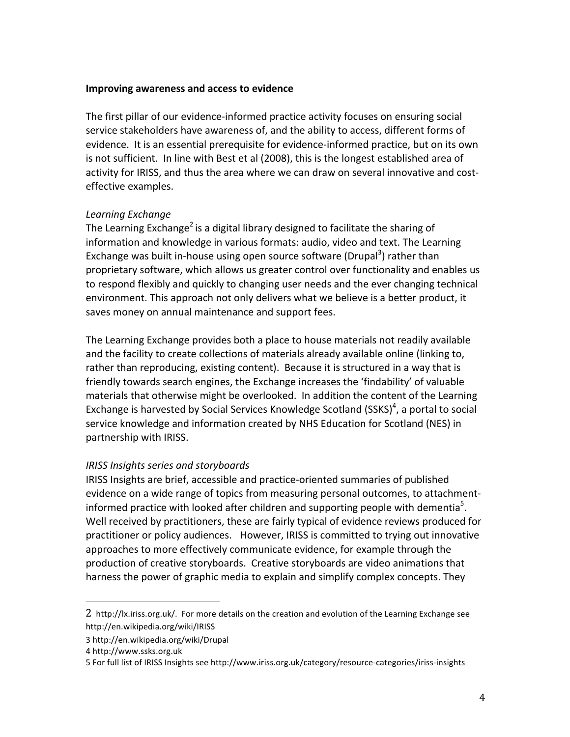#### **Improving awareness and access to evidence**

The first pillar of our evidence-informed practice activity focuses on ensuring social service stakeholders have awareness of, and the ability to access, different forms of evidence. It is an essential prerequisite for evidence-informed practice, but on its own is not sufficient. In line with Best et al (2008), this is the longest established area of activity for IRISS, and thus the area where we can draw on several innovative and costeffective examples.

### *Learning Exchange*

The Learning Exchange<sup>2</sup> is a digital library designed to facilitate the sharing of information and knowledge in various formats: audio, video and text. The Learning Exchange was built in-house using open source software (Drupal<sup>3</sup>) rather than proprietary software, which allows us greater control over functionality and enables us to respond flexibly and quickly to changing user needs and the ever changing technical environment. This approach not only delivers what we believe is a better product, it saves money on annual maintenance and support fees.

The Learning Exchange provides both a place to house materials not readily available and the facility to create collections of materials already available online (linking to, rather than reproducing, existing content). Because it is structured in a way that is friendly towards search engines, the Exchange increases the 'findability' of valuable materials that otherwise might be overlooked. In addition the content of the Learning Exchange is harvested by Social Services Knowledge Scotland  $(SSKS)<sup>4</sup>$ , a portal to social service knowledge and information created by NHS Education for Scotland (NES) in partnership with IRISS.

# *IRISS Insights series and storyboards*

IRISS Insights are brief, accessible and practice-oriented summaries of published evidence on a wide range of topics from measuring personal outcomes, to attachmentinformed practice with looked after children and supporting people with dementia<sup>5</sup>. Well received by practitioners, these are fairly typical of evidence reviews produced for practitioner or policy audiences. However, IRISS is committed to trying out innovative approaches to more effectively communicate evidence, for example through the production of creative storyboards. Creative storyboards are video animations that harness the power of graphic media to explain and simplify complex concepts. They

<sup>2</sup> http://lx.iriss.org.uk/. For more details on the creation and evolution of the Learning Exchange see http://en.wikipedia.org/wiki/IRISS

<sup>3</sup> http://en.wikipedia.org/wiki/Drupal

<sup>4</sup> http://www.ssks.org.uk

<sup>5</sup> For full list of IRISS Insights see http://www.iriss.org.uk/category/resource-categories/iriss-insights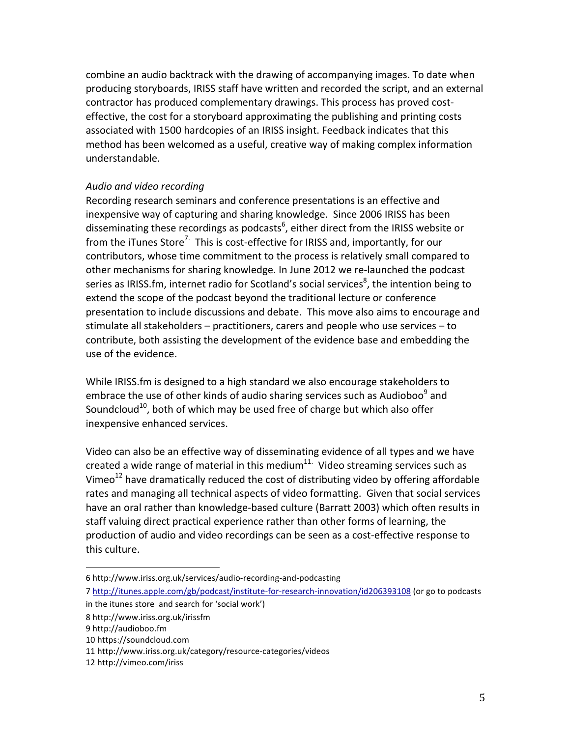combine an audio backtrack with the drawing of accompanying images. To date when producing storyboards, IRISS staff have written and recorded the script, and an external contractor has produced complementary drawings. This process has proved costeffective, the cost for a storyboard approximating the publishing and printing costs associated with 1500 hardcopies of an IRISS insight. Feedback indicates that this method has been welcomed as a useful, creative way of making complex information understandable. 

### *Audio and video recording*

Recording research seminars and conference presentations is an effective and inexpensive way of capturing and sharing knowledge. Since 2006 IRISS has been disseminating these recordings as podcasts<sup>6</sup>, either direct from the IRISS website or from the iTunes Store<sup>7.</sup> This is cost-effective for IRISS and, importantly, for our contributors, whose time commitment to the process is relatively small compared to other mechanisms for sharing knowledge. In June 2012 we re-launched the podcast series as IRISS.fm, internet radio for Scotland's social services<sup>8</sup>, the intention being to extend the scope of the podcast beyond the traditional lecture or conference presentation to include discussions and debate. This move also aims to encourage and stimulate all stakeholders  $-$  practitioners, carers and people who use services  $-$  to contribute, both assisting the development of the evidence base and embedding the use of the evidence.

While IRISS.fm is designed to a high standard we also encourage stakeholders to embrace the use of other kinds of audio sharing services such as Audioboo $9$  and Soundcloud<sup>10</sup>, both of which may be used free of charge but which also offer inexpensive enhanced services.

Video can also be an effective way of disseminating evidence of all types and we have created a wide range of material in this medium $^{11}$ . Video streaming services such as Vimeo<sup>12</sup> have dramatically reduced the cost of distributing video by offering affordable rates and managing all technical aspects of video formatting. Given that social services have an oral rather than knowledge-based culture (Barratt 2003) which often results in staff valuing direct practical experience rather than other forms of learning, the production of audio and video recordings can be seen as a cost-effective response to this culture.

<sup>6</sup> http://www.iriss.org.uk/services/audio-recording-and-podcasting

<sup>7</sup> http://itunes.apple.com/gb/podcast/institute-for-research-innovation/id206393108 (or go to podcasts in the itunes store and search for 'social work')

<sup>8</sup> http://www.iriss.org.uk/irissfm

<sup>9</sup> http://audioboo.fm

<sup>10</sup> https://soundcloud.com

<sup>11</sup> http://www.iriss.org.uk/category/resource-categories/videos

<sup>12</sup> http://vimeo.com/iriss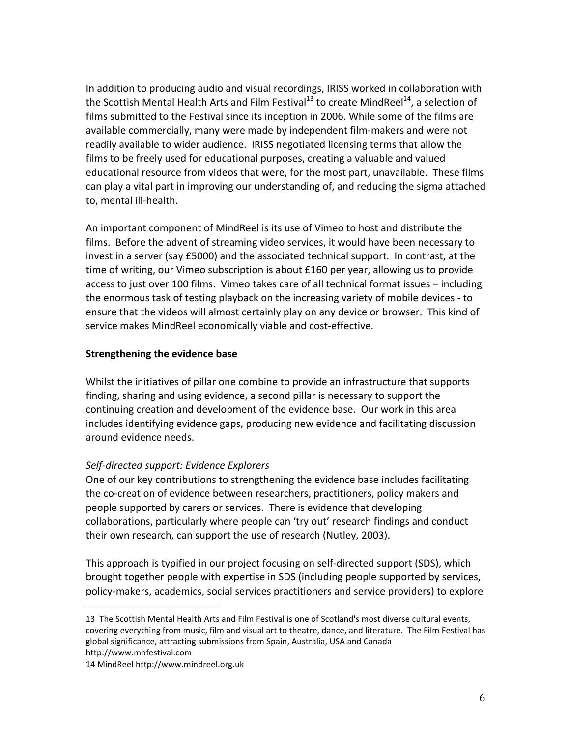In addition to producing audio and visual recordings, IRISS worked in collaboration with the Scottish Mental Health Arts and Film Festival<sup>13</sup> to create MindReel<sup>14</sup>, a selection of films submitted to the Festival since its inception in 2006. While some of the films are available commercially, many were made by independent film-makers and were not readily available to wider audience. IRISS negotiated licensing terms that allow the films to be freely used for educational purposes, creating a valuable and valued educational resource from videos that were, for the most part, unavailable. These films can play a vital part in improving our understanding of, and reducing the sigma attached to, mental ill-health.

An important component of MindReel is its use of Vimeo to host and distribute the films. Before the advent of streaming video services, it would have been necessary to invest in a server (say £5000) and the associated technical support. In contrast, at the time of writing, our Vimeo subscription is about £160 per year, allowing us to provide access to just over 100 films. Vimeo takes care of all technical format issues - including the enormous task of testing playback on the increasing variety of mobile devices - to ensure that the videos will almost certainly play on any device or browser. This kind of service makes MindReel economically viable and cost-effective.

### **Strengthening the evidence base**

Whilst the initiatives of pillar one combine to provide an infrastructure that supports finding, sharing and using evidence, a second pillar is necessary to support the continuing creation and development of the evidence base. Our work in this area includes identifying evidence gaps, producing new evidence and facilitating discussion around evidence needs.

# *Self-directed support: Evidence Explorers*

One of our key contributions to strengthening the evidence base includes facilitating the co-creation of evidence between researchers, practitioners, policy makers and people supported by carers or services. There is evidence that developing collaborations, particularly where people can 'try out' research findings and conduct their own research, can support the use of research (Nutley, 2003).

This approach is typified in our project focusing on self-directed support (SDS), which brought together people with expertise in SDS (including people supported by services, policy-makers, academics, social services practitioners and service providers) to explore

<sup>13</sup> The Scottish Mental Health Arts and Film Festival is one of Scotland's most diverse cultural events, covering everything from music, film and visual art to theatre, dance, and literature. The Film Festival has global significance, attracting submissions from Spain, Australia, USA and Canada

http://www.mhfestival.com

<sup>14</sup> MindReel http://www.mindreel.org.uk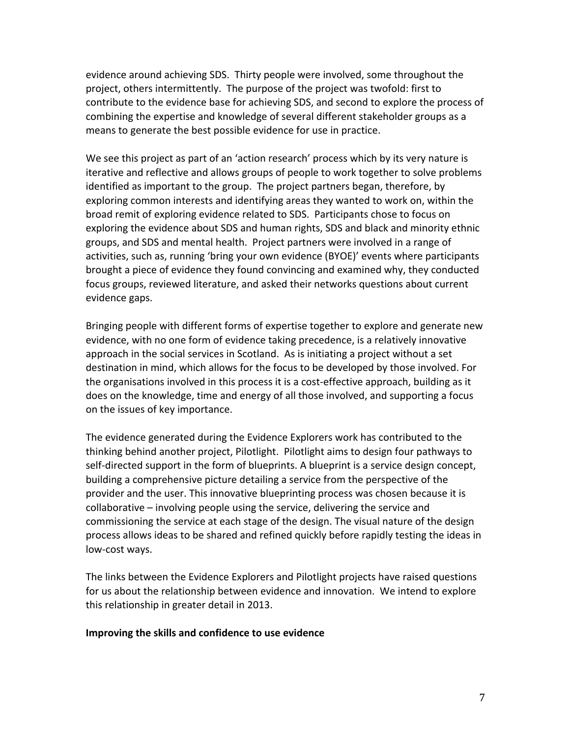evidence around achieving SDS. Thirty people were involved, some throughout the project, others intermittently. The purpose of the project was twofold: first to contribute to the evidence base for achieving SDS, and second to explore the process of combining the expertise and knowledge of several different stakeholder groups as a means to generate the best possible evidence for use in practice.

We see this project as part of an 'action research' process which by its very nature is iterative and reflective and allows groups of people to work together to solve problems identified as important to the group. The project partners began, therefore, by exploring common interests and identifying areas they wanted to work on, within the broad remit of exploring evidence related to SDS. Participants chose to focus on exploring the evidence about SDS and human rights, SDS and black and minority ethnic groups, and SDS and mental health. Project partners were involved in a range of activities, such as, running 'bring your own evidence (BYOE)' events where participants brought a piece of evidence they found convincing and examined why, they conducted focus groups, reviewed literature, and asked their networks questions about current evidence gaps.

Bringing people with different forms of expertise together to explore and generate new evidence, with no one form of evidence taking precedence, is a relatively innovative approach in the social services in Scotland. As is initiating a project without a set destination in mind, which allows for the focus to be developed by those involved. For the organisations involved in this process it is a cost-effective approach, building as it does on the knowledge, time and energy of all those involved, and supporting a focus on the issues of key importance.

The evidence generated during the Evidence Explorers work has contributed to the thinking behind another project, Pilotlight. Pilotlight aims to design four pathways to self-directed support in the form of blueprints. A blueprint is a service design concept, building a comprehensive picture detailing a service from the perspective of the provider and the user. This innovative blueprinting process was chosen because it is collaborative – involving people using the service, delivering the service and commissioning the service at each stage of the design. The visual nature of the design process allows ideas to be shared and refined quickly before rapidly testing the ideas in low-cost ways.

The links between the Evidence Explorers and Pilotlight projects have raised questions for us about the relationship between evidence and innovation. We intend to explore this relationship in greater detail in 2013.

#### **Improving the skills and confidence to use evidence**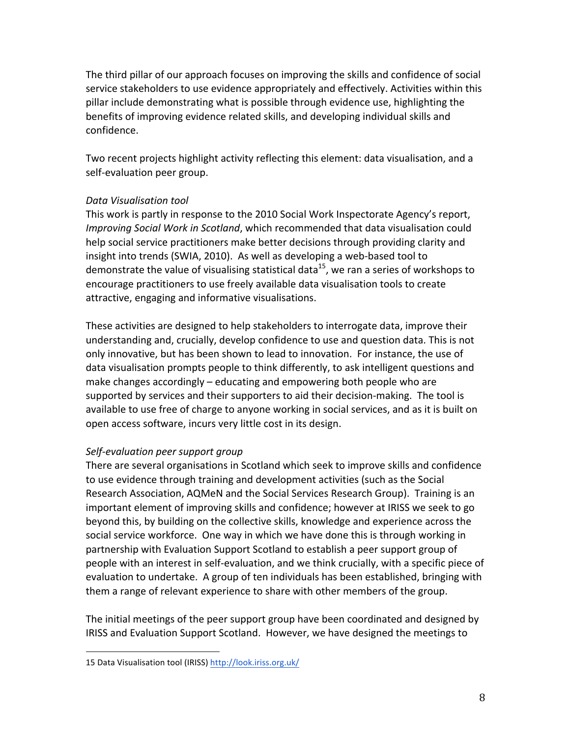The third pillar of our approach focuses on improving the skills and confidence of social service stakeholders to use evidence appropriately and effectively. Activities within this pillar include demonstrating what is possible through evidence use, highlighting the benefits of improving evidence related skills, and developing individual skills and confidence.

Two recent projects highlight activity reflecting this element: data visualisation, and a self-evaluation peer group.

### *Data Visualisation tool*

This work is partly in response to the 2010 Social Work Inspectorate Agency's report, *Improving Social Work in Scotland*, which recommended that data visualisation could help social service practitioners make better decisions through providing clarity and insight into trends (SWIA, 2010). As well as developing a web-based tool to demonstrate the value of visualising statistical data<sup>15</sup>, we ran a series of workshops to encourage practitioners to use freely available data visualisation tools to create attractive, engaging and informative visualisations.

These activities are designed to help stakeholders to interrogate data, improve their understanding and, crucially, develop confidence to use and question data. This is not only innovative, but has been shown to lead to innovation. For instance, the use of data visualisation prompts people to think differently, to ask intelligent questions and make changes accordingly  $-$  educating and empowering both people who are supported by services and their supporters to aid their decision-making. The tool is available to use free of charge to anyone working in social services, and as it is built on open access software, incurs very little cost in its design.

# *Self-evaluation peer support group*

There are several organisations in Scotland which seek to improve skills and confidence to use evidence through training and development activities (such as the Social Research Association, AQMeN and the Social Services Research Group). Training is an important element of improving skills and confidence; however at IRISS we seek to go beyond this, by building on the collective skills, knowledge and experience across the social service workforce. One way in which we have done this is through working in partnership with Evaluation Support Scotland to establish a peer support group of people with an interest in self-evaluation, and we think crucially, with a specific piece of evaluation to undertake. A group of ten individuals has been established, bringing with them a range of relevant experience to share with other members of the group.

The initial meetings of the peer support group have been coordinated and designed by IRISS and Evaluation Support Scotland. However, we have designed the meetings to

<sup>15</sup> Data Visualisation tool (IRISS) http://look.iriss.org.uk/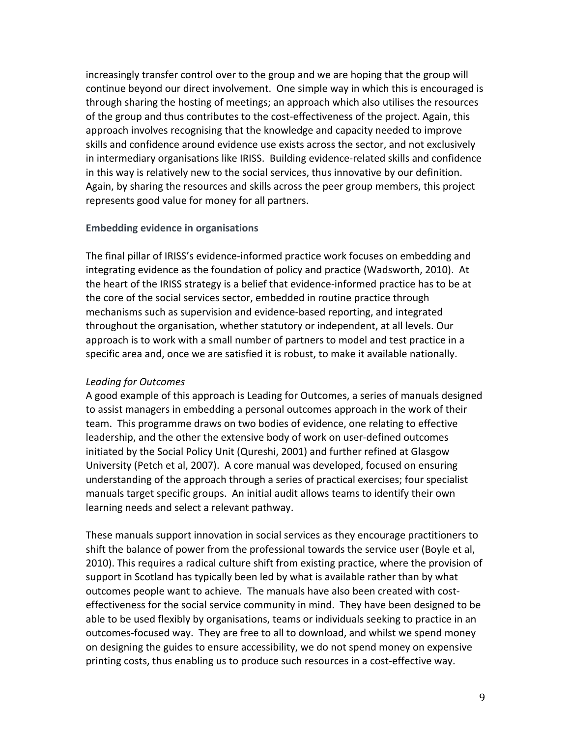increasingly transfer control over to the group and we are hoping that the group will continue beyond our direct involvement. One simple way in which this is encouraged is through sharing the hosting of meetings; an approach which also utilises the resources of the group and thus contributes to the cost-effectiveness of the project. Again, this approach involves recognising that the knowledge and capacity needed to improve skills and confidence around evidence use exists across the sector, and not exclusively in intermediary organisations like IRISS. Building evidence-related skills and confidence in this way is relatively new to the social services, thus innovative by our definition. Again, by sharing the resources and skills across the peer group members, this project represents good value for money for all partners.

### **Embedding evidence in organisations**

The final pillar of IRISS's evidence-informed practice work focuses on embedding and integrating evidence as the foundation of policy and practice (Wadsworth, 2010). At the heart of the IRISS strategy is a belief that evidence-informed practice has to be at the core of the social services sector, embedded in routine practice through mechanisms such as supervision and evidence-based reporting, and integrated throughout the organisation, whether statutory or independent, at all levels. Our approach is to work with a small number of partners to model and test practice in a specific area and, once we are satisfied it is robust, to make it available nationally.

### *Leading for Outcomes*

A good example of this approach is Leading for Outcomes, a series of manuals designed to assist managers in embedding a personal outcomes approach in the work of their team. This programme draws on two bodies of evidence, one relating to effective leadership, and the other the extensive body of work on user-defined outcomes initiated by the Social Policy Unit (Qureshi, 2001) and further refined at Glasgow University (Petch et al, 2007). A core manual was developed, focused on ensuring understanding of the approach through a series of practical exercises; four specialist manuals target specific groups. An initial audit allows teams to identify their own learning needs and select a relevant pathway.

These manuals support innovation in social services as they encourage practitioners to shift the balance of power from the professional towards the service user (Boyle et al, 2010). This requires a radical culture shift from existing practice, where the provision of support in Scotland has typically been led by what is available rather than by what outcomes people want to achieve. The manuals have also been created with costeffectiveness for the social service community in mind. They have been designed to be able to be used flexibly by organisations, teams or individuals seeking to practice in an outcomes-focused way. They are free to all to download, and whilst we spend money on designing the guides to ensure accessibility, we do not spend money on expensive printing costs, thus enabling us to produce such resources in a cost-effective way.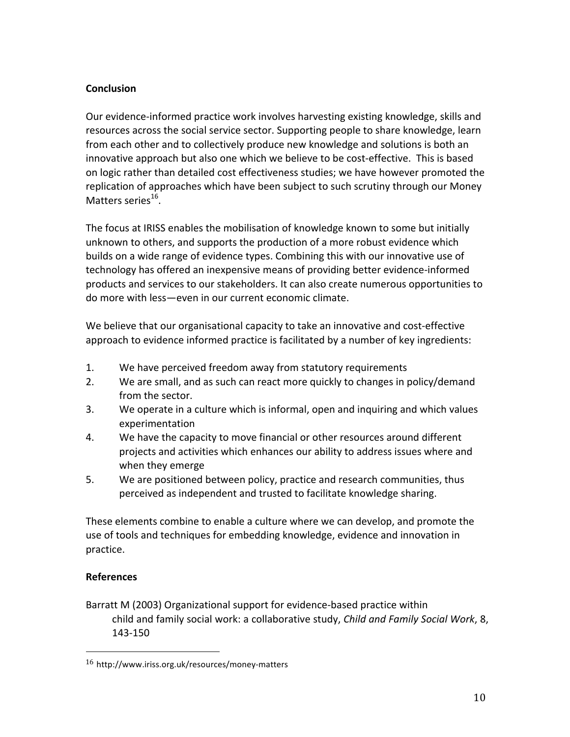# **Conclusion**

Our evidence-informed practice work involves harvesting existing knowledge, skills and resources across the social service sector. Supporting people to share knowledge, learn from each other and to collectively produce new knowledge and solutions is both an innovative approach but also one which we believe to be cost-effective. This is based on logic rather than detailed cost effectiveness studies; we have however promoted the replication of approaches which have been subject to such scrutiny through our Money Matters series<sup>16</sup>.

The focus at IRISS enables the mobilisation of knowledge known to some but initially unknown to others, and supports the production of a more robust evidence which builds on a wide range of evidence types. Combining this with our innovative use of technology has offered an inexpensive means of providing better evidence-informed products and services to our stakeholders. It can also create numerous opportunities to do more with less-even in our current economic climate.

We believe that our organisational capacity to take an innovative and cost-effective approach to evidence informed practice is facilitated by a number of key ingredients:

- 1. We have perceived freedom away from statutory requirements
- 2. We are small, and as such can react more quickly to changes in policy/demand from the sector.
- 3. We operate in a culture which is informal, open and inquiring and which values experimentation
- 4. We have the capacity to move financial or other resources around different projects and activities which enhances our ability to address issues where and when they emerge
- 5. We are positioned between policy, practice and research communities, thus perceived as independent and trusted to facilitate knowledge sharing.

These elements combine to enable a culture where we can develop, and promote the use of tools and techniques for embedding knowledge, evidence and innovation in practice.

# **References**

Barratt M (2003) Organizational support for evidence-based practice within child and family social work: a collaborative study, *Child and Family Social Work*, 8, 143-150

<sup>16</sup> http://www.iriss.org.uk/resources/money-matters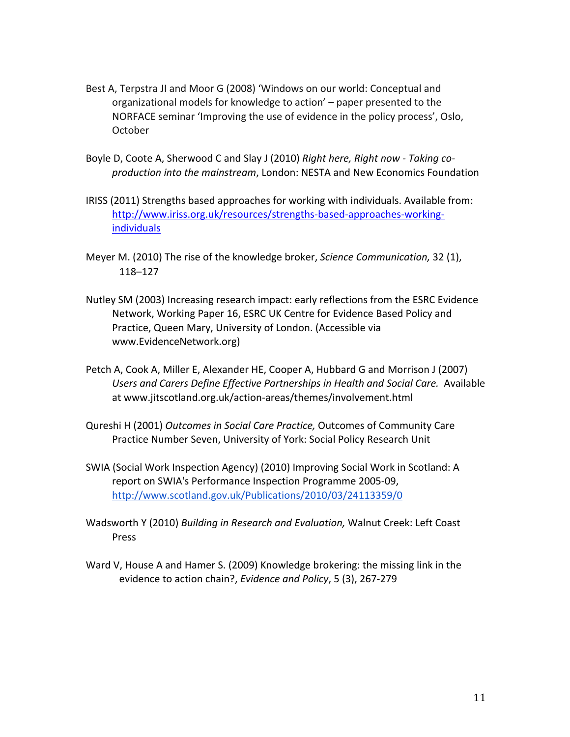- Best A, Terpstra JI and Moor G (2008) 'Windows on our world: Conceptual and organizational models for knowledge to action' - paper presented to the NORFACE seminar 'Improving the use of evidence in the policy process', Oslo, October
- Boyle D, Coote A, Sherwood C and Slay J (2010) *Right here, Right now Taking coproduction into the mainstream*, London: NESTA and New Economics Foundation
- IRISS (2011) Strengths based approaches for working with individuals. Available from: http://www.iriss.org.uk/resources/strengths-based-approaches-workingindividuals
- Meyer M. (2010) The rise of the knowledge broker, *Science Communication*, 32 (1), 118–127
- Nutley SM (2003) Increasing research impact: early reflections from the ESRC Evidence Network, Working Paper 16, ESRC UK Centre for Evidence Based Policy and Practice, Queen Mary, University of London. (Accessible via www.EvidenceNetwork.org)
- Petch A, Cook A, Miller E, Alexander HE, Cooper A, Hubbard G and Morrison J (2007) Users and Carers Define Effective Partnerships in Health and Social Care. Available at www.jitscotland.org.uk/action-areas/themes/involvement.html
- Qureshi H (2001) *Outcomes in Social Care Practice,* Outcomes of Community Care Practice Number Seven, University of York: Social Policy Research Unit
- SWIA (Social Work Inspection Agency) (2010) Improving Social Work in Scotland: A report on SWIA's Performance Inspection Programme 2005-09, http://www.scotland.gov.uk/Publications/2010/03/24113359/0
- Wadsworth Y (2010) *Building in Research and Evaluation,* Walnut Creek: Left Coast Press
- Ward V, House A and Hamer S. (2009) Knowledge brokering: the missing link in the evidence to action chain?, *Evidence and Policy*, 5 (3), 267-279